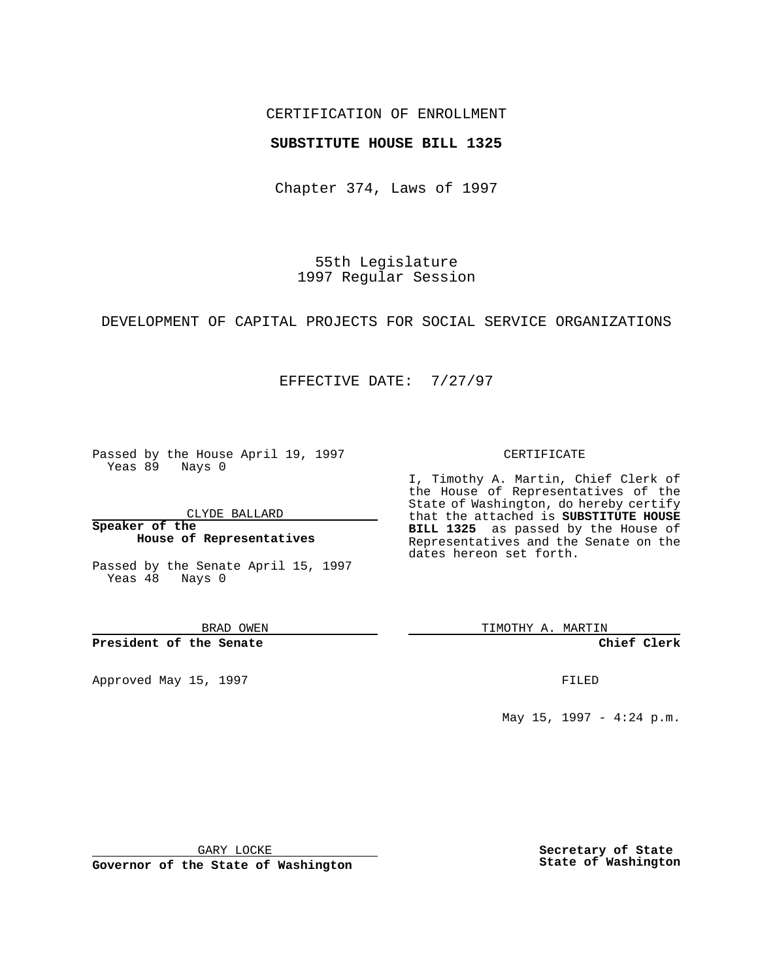## CERTIFICATION OF ENROLLMENT

### **SUBSTITUTE HOUSE BILL 1325**

Chapter 374, Laws of 1997

55th Legislature 1997 Regular Session

DEVELOPMENT OF CAPITAL PROJECTS FOR SOCIAL SERVICE ORGANIZATIONS

## EFFECTIVE DATE: 7/27/97

Passed by the House April 19, 1997 Yeas 89 Nays 0

CLYDE BALLARD

**Speaker of the House of Representatives**

Passed by the Senate April 15, 1997 Yeas 48 Nays 0

BRAD OWEN

**President of the Senate**

Approved May 15, 1997 **FILED** 

#### CERTIFICATE

I, Timothy A. Martin, Chief Clerk of the House of Representatives of the State of Washington, do hereby certify that the attached is **SUBSTITUTE HOUSE BILL 1325** as passed by the House of Representatives and the Senate on the dates hereon set forth.

TIMOTHY A. MARTIN

**Chief Clerk**

May 15, 1997 - 4:24 p.m.

GARY LOCKE

**Governor of the State of Washington**

**Secretary of State State of Washington**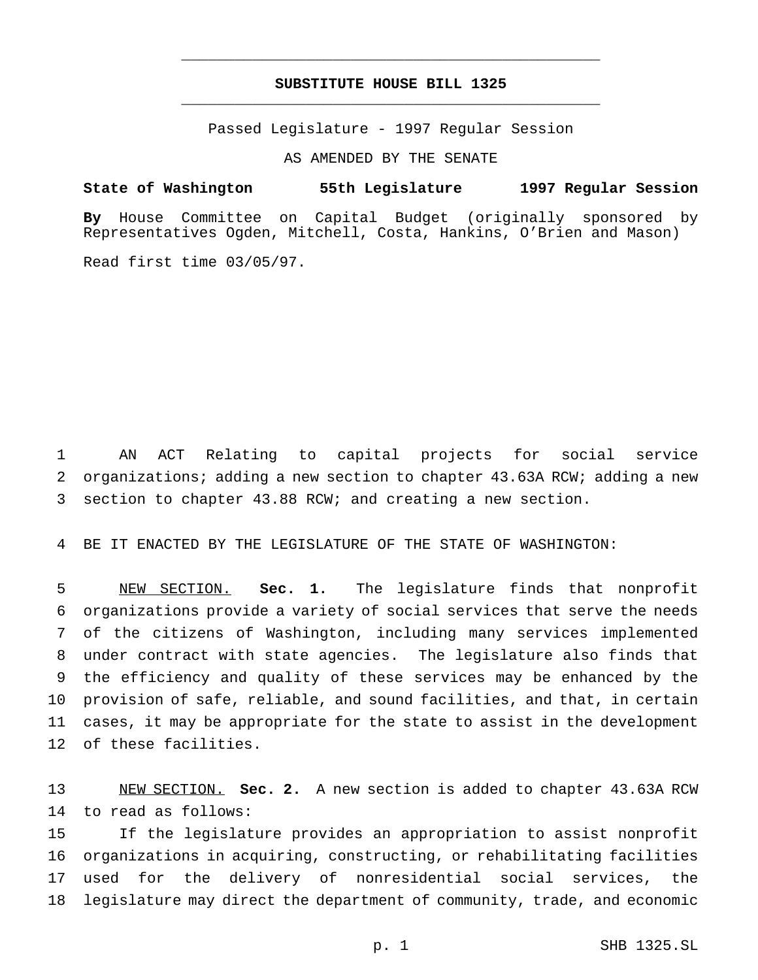# **SUBSTITUTE HOUSE BILL 1325** \_\_\_\_\_\_\_\_\_\_\_\_\_\_\_\_\_\_\_\_\_\_\_\_\_\_\_\_\_\_\_\_\_\_\_\_\_\_\_\_\_\_\_\_\_\_\_

\_\_\_\_\_\_\_\_\_\_\_\_\_\_\_\_\_\_\_\_\_\_\_\_\_\_\_\_\_\_\_\_\_\_\_\_\_\_\_\_\_\_\_\_\_\_\_

Passed Legislature - 1997 Regular Session

AS AMENDED BY THE SENATE

**State of Washington 55th Legislature 1997 Regular Session**

**By** House Committee on Capital Budget (originally sponsored by Representatives Ogden, Mitchell, Costa, Hankins, O'Brien and Mason)

Read first time 03/05/97.

 AN ACT Relating to capital projects for social service organizations; adding a new section to chapter 43.63A RCW; adding a new section to chapter 43.88 RCW; and creating a new section.

BE IT ENACTED BY THE LEGISLATURE OF THE STATE OF WASHINGTON:

 NEW SECTION. **Sec. 1.** The legislature finds that nonprofit organizations provide a variety of social services that serve the needs of the citizens of Washington, including many services implemented under contract with state agencies. The legislature also finds that the efficiency and quality of these services may be enhanced by the provision of safe, reliable, and sound facilities, and that, in certain cases, it may be appropriate for the state to assist in the development of these facilities.

 NEW SECTION. **Sec. 2.** A new section is added to chapter 43.63A RCW to read as follows:

 If the legislature provides an appropriation to assist nonprofit organizations in acquiring, constructing, or rehabilitating facilities used for the delivery of nonresidential social services, the legislature may direct the department of community, trade, and economic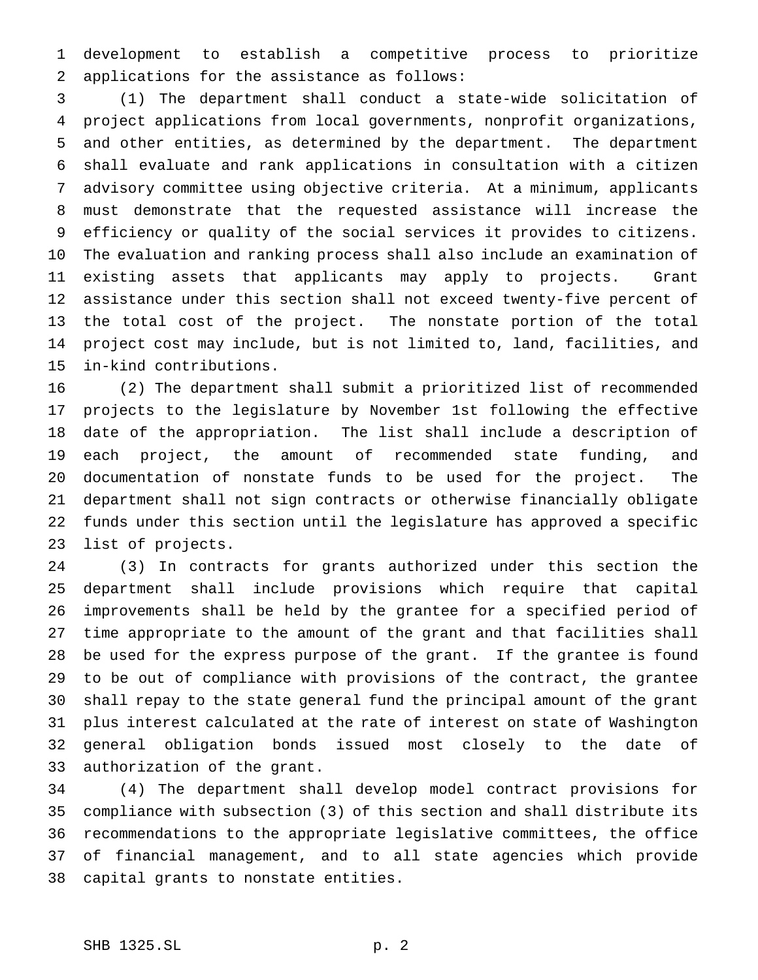development to establish a competitive process to prioritize applications for the assistance as follows:

 (1) The department shall conduct a state-wide solicitation of project applications from local governments, nonprofit organizations, and other entities, as determined by the department. The department shall evaluate and rank applications in consultation with a citizen advisory committee using objective criteria. At a minimum, applicants must demonstrate that the requested assistance will increase the efficiency or quality of the social services it provides to citizens. The evaluation and ranking process shall also include an examination of existing assets that applicants may apply to projects. Grant assistance under this section shall not exceed twenty-five percent of the total cost of the project. The nonstate portion of the total project cost may include, but is not limited to, land, facilities, and in-kind contributions.

 (2) The department shall submit a prioritized list of recommended projects to the legislature by November 1st following the effective date of the appropriation. The list shall include a description of each project, the amount of recommended state funding, and documentation of nonstate funds to be used for the project. The department shall not sign contracts or otherwise financially obligate funds under this section until the legislature has approved a specific list of projects.

 (3) In contracts for grants authorized under this section the department shall include provisions which require that capital improvements shall be held by the grantee for a specified period of time appropriate to the amount of the grant and that facilities shall be used for the express purpose of the grant. If the grantee is found to be out of compliance with provisions of the contract, the grantee shall repay to the state general fund the principal amount of the grant plus interest calculated at the rate of interest on state of Washington general obligation bonds issued most closely to the date of authorization of the grant.

 (4) The department shall develop model contract provisions for compliance with subsection (3) of this section and shall distribute its recommendations to the appropriate legislative committees, the office of financial management, and to all state agencies which provide capital grants to nonstate entities.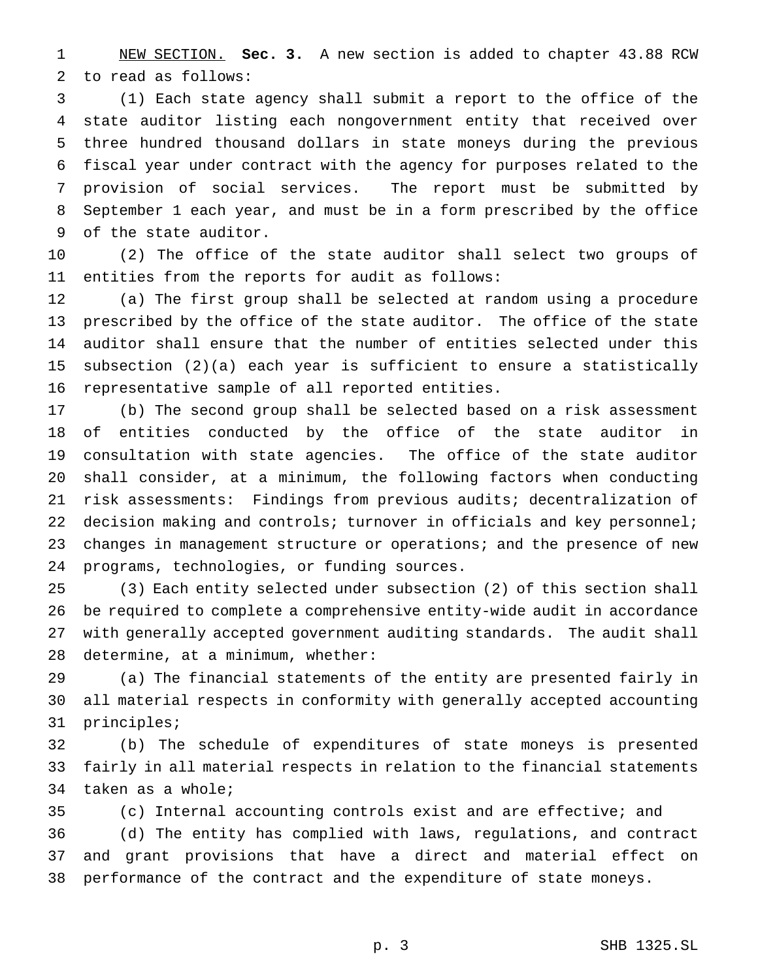NEW SECTION. **Sec. 3.** A new section is added to chapter 43.88 RCW to read as follows:

 (1) Each state agency shall submit a report to the office of the state auditor listing each nongovernment entity that received over three hundred thousand dollars in state moneys during the previous fiscal year under contract with the agency for purposes related to the provision of social services. The report must be submitted by September 1 each year, and must be in a form prescribed by the office of the state auditor.

 (2) The office of the state auditor shall select two groups of entities from the reports for audit as follows:

 (a) The first group shall be selected at random using a procedure prescribed by the office of the state auditor. The office of the state auditor shall ensure that the number of entities selected under this subsection (2)(a) each year is sufficient to ensure a statistically representative sample of all reported entities.

 (b) The second group shall be selected based on a risk assessment of entities conducted by the office of the state auditor in consultation with state agencies. The office of the state auditor shall consider, at a minimum, the following factors when conducting risk assessments: Findings from previous audits; decentralization of decision making and controls; turnover in officials and key personnel; changes in management structure or operations; and the presence of new programs, technologies, or funding sources.

 (3) Each entity selected under subsection (2) of this section shall be required to complete a comprehensive entity-wide audit in accordance with generally accepted government auditing standards. The audit shall determine, at a minimum, whether:

 (a) The financial statements of the entity are presented fairly in all material respects in conformity with generally accepted accounting principles;

 (b) The schedule of expenditures of state moneys is presented fairly in all material respects in relation to the financial statements taken as a whole;

(c) Internal accounting controls exist and are effective; and

 (d) The entity has complied with laws, regulations, and contract and grant provisions that have a direct and material effect on performance of the contract and the expenditure of state moneys.